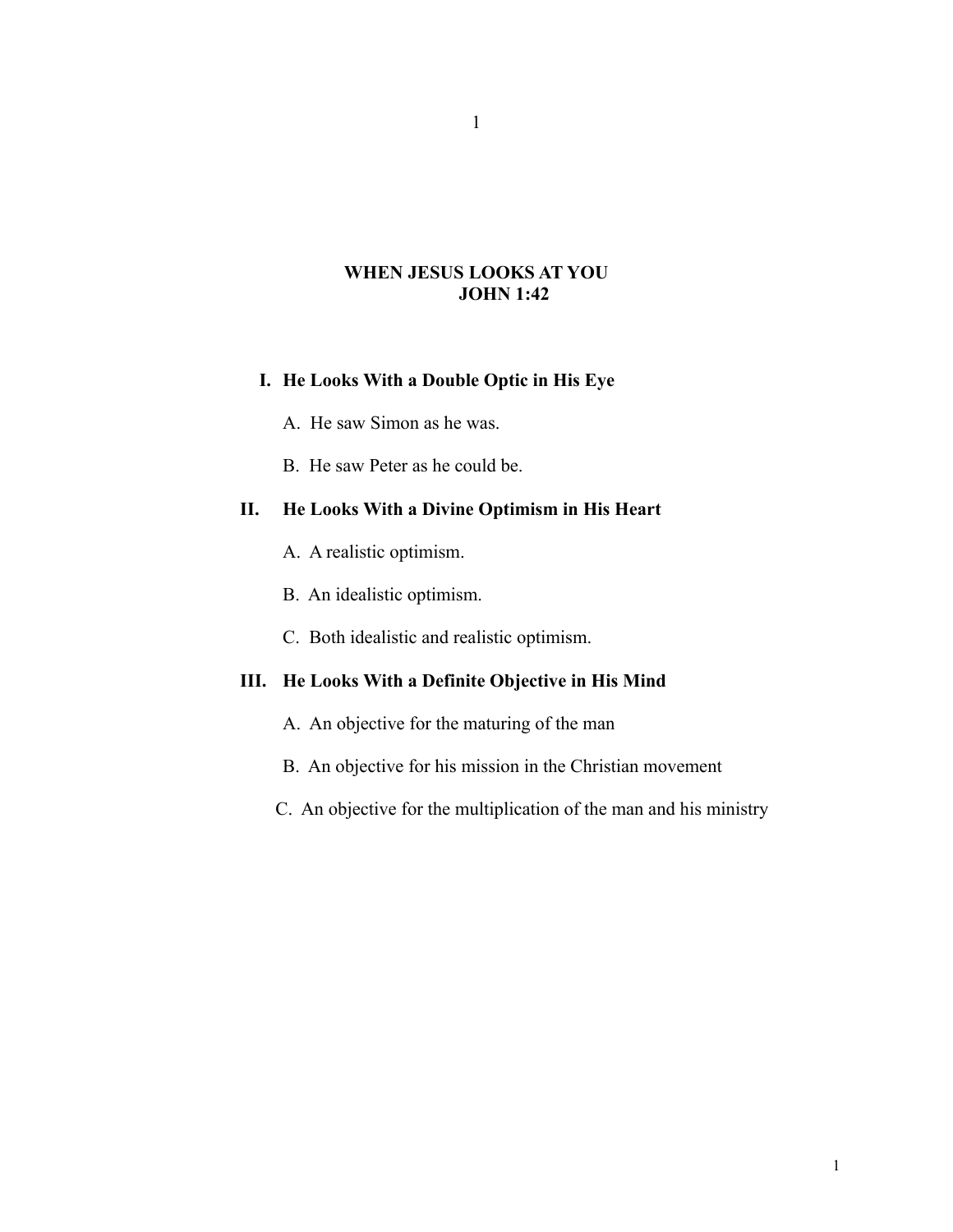## **WHEN JESUS LOOKS AT YOU JOHN 1:42**

# **I. He Looks With a Double Optic in His Eye**

A. He saw Simon as he was.

B. He saw Peter as he could be.

# **II. He Looks With a Divine Optimism in His Heart**

- A. A realistic optimism.
- B. An idealistic optimism.
- C. Both idealistic and realistic optimism.

# **III. He Looks With a Definite Objective in His Mind**

- A. An objective for the maturing of the man
- B. An objective for his mission in the Christian movement
- C. An objective for the multiplication of the man and his ministry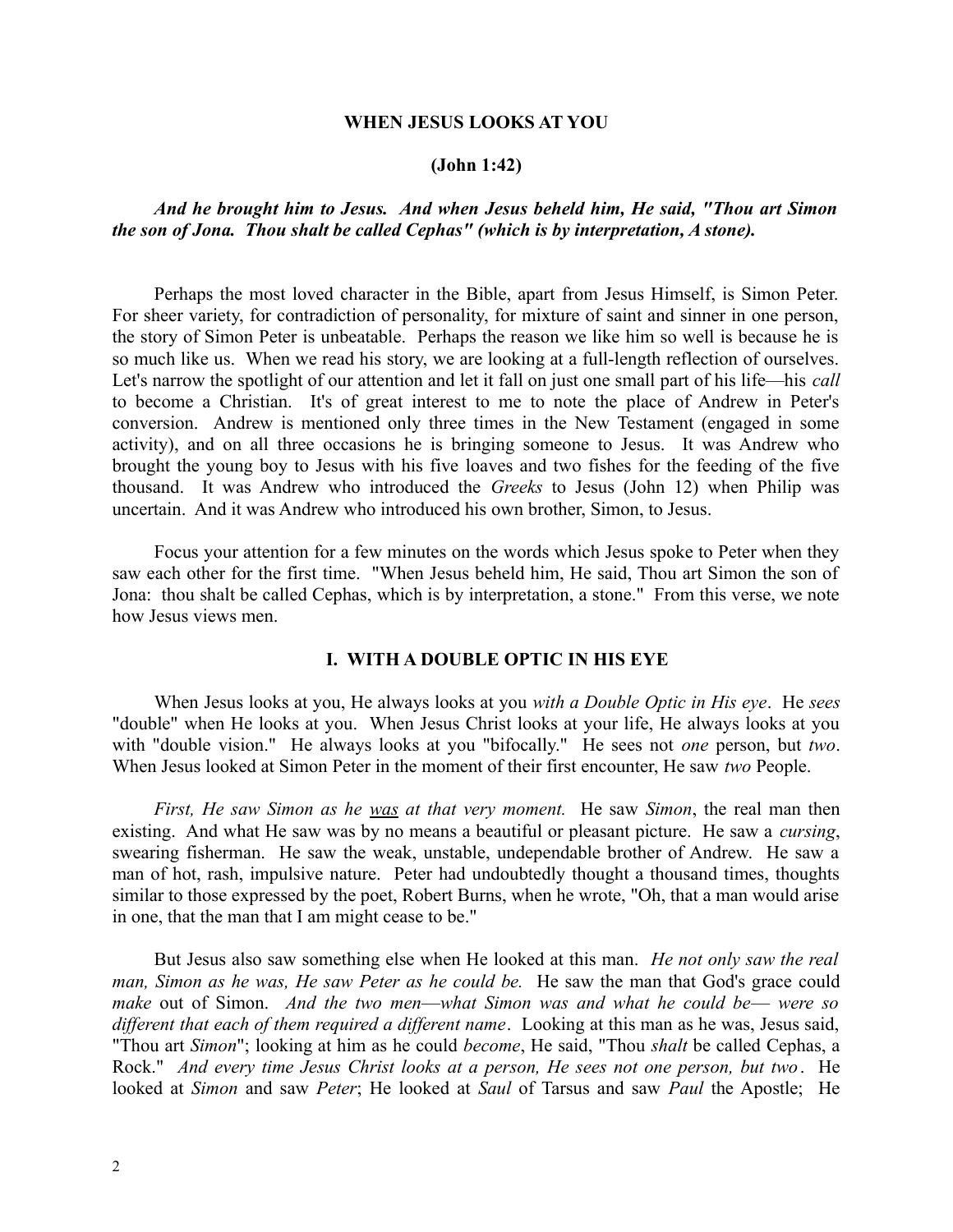#### **WHEN JESUS LOOKS AT YOU**

#### **(John 1:42)**

## *And he brought him to Jesus. And when Jesus beheld him, He said, "Thou art Simon the son of Jona. Thou shalt be called Cephas" (which is by interpretation, A stone).*

Perhaps the most loved character in the Bible, apart from Jesus Himself, is Simon Peter. For sheer variety, for contradiction of personality, for mixture of saint and sinner in one person, the story of Simon Peter is unbeatable. Perhaps the reason we like him so well is because he is so much like us. When we read his story, we are looking at a full-length reflection of ourselves. Let's narrow the spotlight of our attention and let it fall on just one small part of his life—his *call* to become a Christian. It's of great interest to me to note the place of Andrew in Peter's conversion. Andrew is mentioned only three times in the New Testament (engaged in some activity), and on all three occasions he is bringing someone to Jesus. It was Andrew who brought the young boy to Jesus with his five loaves and two fishes for the feeding of the five thousand. It was Andrew who introduced the *Greeks* to Jesus (John 12) when Philip was uncertain. And it was Andrew who introduced his own brother, Simon, to Jesus.

Focus your attention for a few minutes on the words which Jesus spoke to Peter when they saw each other for the first time. "When Jesus beheld him, He said, Thou art Simon the son of Jona: thou shalt be called Cephas, which is by interpretation, a stone." From this verse, we note how Jesus views men.

## **I. WITH A DOUBLE OPTIC IN HIS EYE**

When Jesus looks at you, He always looks at you *with a Double Optic in His eye*. He *sees* "double" when He looks at you. When Jesus Christ looks at your life, He always looks at you with "double vision." He always looks at you "bifocally." He sees not *one* person, but *two*. When Jesus looked at Simon Peter in the moment of their first encounter, He saw *two* People.

*First, He saw Simon as he was at that very moment.* He saw *Simon*, the real man then existing. And what He saw was by no means a beautiful or pleasant picture. He saw a *cursing*, swearing fisherman. He saw the weak, unstable, undependable brother of Andrew. He saw a man of hot, rash, impulsive nature. Peter had undoubtedly thought a thousand times, thoughts similar to those expressed by the poet, Robert Burns, when he wrote, "Oh, that a man would arise in one, that the man that I am might cease to be."

But Jesus also saw something else when He looked at this man. *He not only saw the real man, Simon as he was, He saw Peter as he could be.* He saw the man that God's grace could *make* out of Simon. *And the two men*—*what Simon was and what he could be*— *were so different that each of them required a different name*. Looking at this man as he was, Jesus said, "Thou art *Simon*"; looking at him as he could *become*, He said, "Thou *shalt* be called Cephas, a Rock." *And every time Jesus Christ looks at a person, He sees not one person, but two*. He looked at *Simon* and saw *Peter*; He looked at *Saul* of Tarsus and saw *Paul* the Apostle; He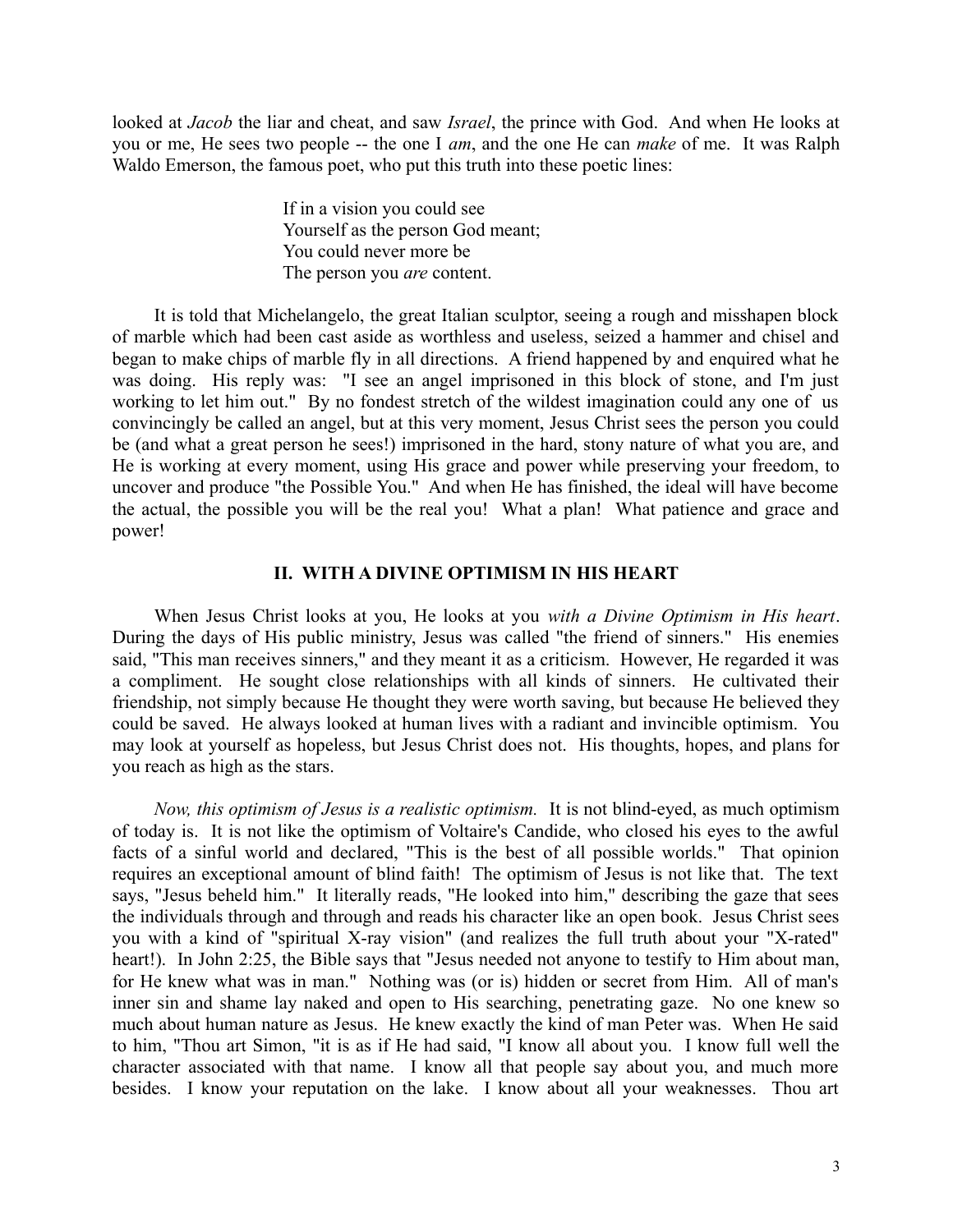looked at *Jacob* the liar and cheat, and saw *Israel*, the prince with God. And when He looks at you or me, He sees two people -- the one I *am*, and the one He can *make* of me. It was Ralph Waldo Emerson, the famous poet, who put this truth into these poetic lines:

> If in a vision you could see Yourself as the person God meant; You could never more be The person you *are* content.

It is told that Michelangelo, the great Italian sculptor, seeing a rough and misshapen block of marble which had been cast aside as worthless and useless, seized a hammer and chisel and began to make chips of marble fly in all directions. A friend happened by and enquired what he was doing. His reply was: "I see an angel imprisoned in this block of stone, and I'm just working to let him out." By no fondest stretch of the wildest imagination could any one of us convincingly be called an angel, but at this very moment, Jesus Christ sees the person you could be (and what a great person he sees!) imprisoned in the hard, stony nature of what you are, and He is working at every moment, using His grace and power while preserving your freedom, to uncover and produce "the Possible You." And when He has finished, the ideal will have become the actual, the possible you will be the real you! What a plan! What patience and grace and power!

## **II. WITH A DIVINE OPTIMISM IN HIS HEART**

When Jesus Christ looks at you, He looks at you *with a Divine Optimism in His heart*. During the days of His public ministry, Jesus was called "the friend of sinners." His enemies said, "This man receives sinners," and they meant it as a criticism. However, He regarded it was a compliment. He sought close relationships with all kinds of sinners. He cultivated their friendship, not simply because He thought they were worth saving, but because He believed they could be saved. He always looked at human lives with a radiant and invincible optimism. You may look at yourself as hopeless, but Jesus Christ does not. His thoughts, hopes, and plans for you reach as high as the stars.

*Now, this optimism of Jesus is a realistic optimism.* It is not blind-eyed, as much optimism of today is. It is not like the optimism of Voltaire's Candide, who closed his eyes to the awful facts of a sinful world and declared, "This is the best of all possible worlds." That opinion requires an exceptional amount of blind faith! The optimism of Jesus is not like that. The text says, "Jesus beheld him." It literally reads, "He looked into him," describing the gaze that sees the individuals through and through and reads his character like an open book. Jesus Christ sees you with a kind of "spiritual X-ray vision" (and realizes the full truth about your "X-rated" heart!). In John 2:25, the Bible says that "Jesus needed not anyone to testify to Him about man, for He knew what was in man." Nothing was (or is) hidden or secret from Him. All of man's inner sin and shame lay naked and open to His searching, penetrating gaze. No one knew so much about human nature as Jesus. He knew exactly the kind of man Peter was. When He said to him, "Thou art Simon, "it is as if He had said, "I know all about you. I know full well the character associated with that name. I know all that people say about you, and much more besides. I know your reputation on the lake. I know about all your weaknesses. Thou art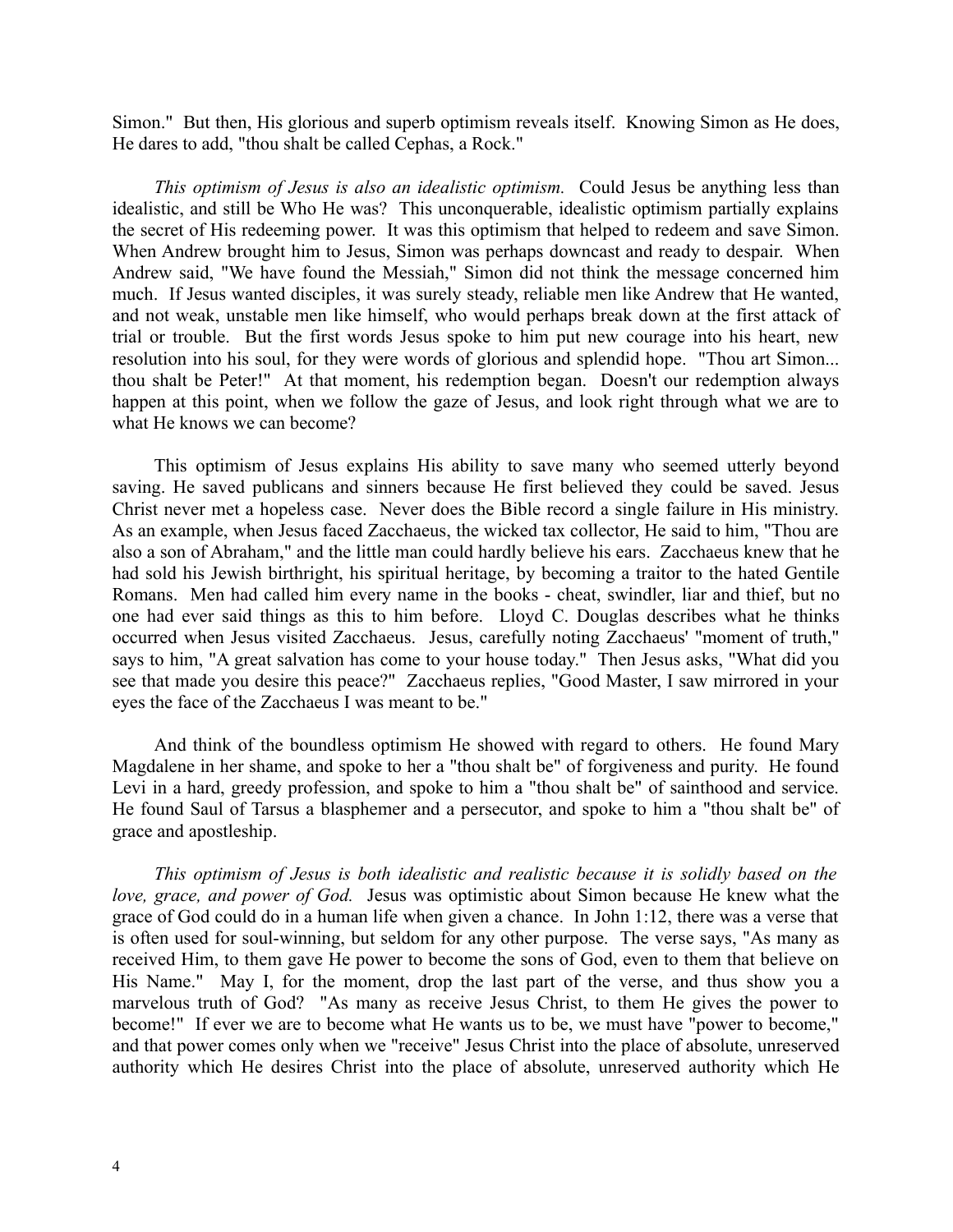Simon." But then, His glorious and superb optimism reveals itself. Knowing Simon as He does, He dares to add, "thou shalt be called Cephas, a Rock."

*This optimism of Jesus is also an idealistic optimism.* Could Jesus be anything less than idealistic, and still be Who He was? This unconquerable, idealistic optimism partially explains the secret of His redeeming power. It was this optimism that helped to redeem and save Simon. When Andrew brought him to Jesus, Simon was perhaps downcast and ready to despair. When Andrew said, "We have found the Messiah," Simon did not think the message concerned him much. If Jesus wanted disciples, it was surely steady, reliable men like Andrew that He wanted, and not weak, unstable men like himself, who would perhaps break down at the first attack of trial or trouble. But the first words Jesus spoke to him put new courage into his heart, new resolution into his soul, for they were words of glorious and splendid hope. "Thou art Simon... thou shalt be Peter!" At that moment, his redemption began. Doesn't our redemption always happen at this point, when we follow the gaze of Jesus, and look right through what we are to what He knows we can become?

This optimism of Jesus explains His ability to save many who seemed utterly beyond saving. He saved publicans and sinners because He first believed they could be saved. Jesus Christ never met a hopeless case. Never does the Bible record a single failure in His ministry. As an example, when Jesus faced Zacchaeus, the wicked tax collector, He said to him, "Thou are also a son of Abraham," and the little man could hardly believe his ears. Zacchaeus knew that he had sold his Jewish birthright, his spiritual heritage, by becoming a traitor to the hated Gentile Romans. Men had called him every name in the books - cheat, swindler, liar and thief, but no one had ever said things as this to him before. Lloyd C. Douglas describes what he thinks occurred when Jesus visited Zacchaeus. Jesus, carefully noting Zacchaeus' "moment of truth," says to him, "A great salvation has come to your house today." Then Jesus asks, "What did you see that made you desire this peace?" Zacchaeus replies, "Good Master, I saw mirrored in your eyes the face of the Zacchaeus I was meant to be."

And think of the boundless optimism He showed with regard to others. He found Mary Magdalene in her shame, and spoke to her a "thou shalt be" of forgiveness and purity. He found Levi in a hard, greedy profession, and spoke to him a "thou shalt be" of sainthood and service. He found Saul of Tarsus a blasphemer and a persecutor, and spoke to him a "thou shalt be" of grace and apostleship.

*This optimism of Jesus is both idealistic and realistic because it is solidly based on the love, grace, and power of God.* Jesus was optimistic about Simon because He knew what the grace of God could do in a human life when given a chance. In John 1:12, there was a verse that is often used for soul-winning, but seldom for any other purpose. The verse says, "As many as received Him, to them gave He power to become the sons of God, even to them that believe on His Name." May I, for the moment, drop the last part of the verse, and thus show you a marvelous truth of God? "As many as receive Jesus Christ, to them He gives the power to become!" If ever we are to become what He wants us to be, we must have "power to become," and that power comes only when we "receive" Jesus Christ into the place of absolute, unreserved authority which He desires Christ into the place of absolute, unreserved authority which He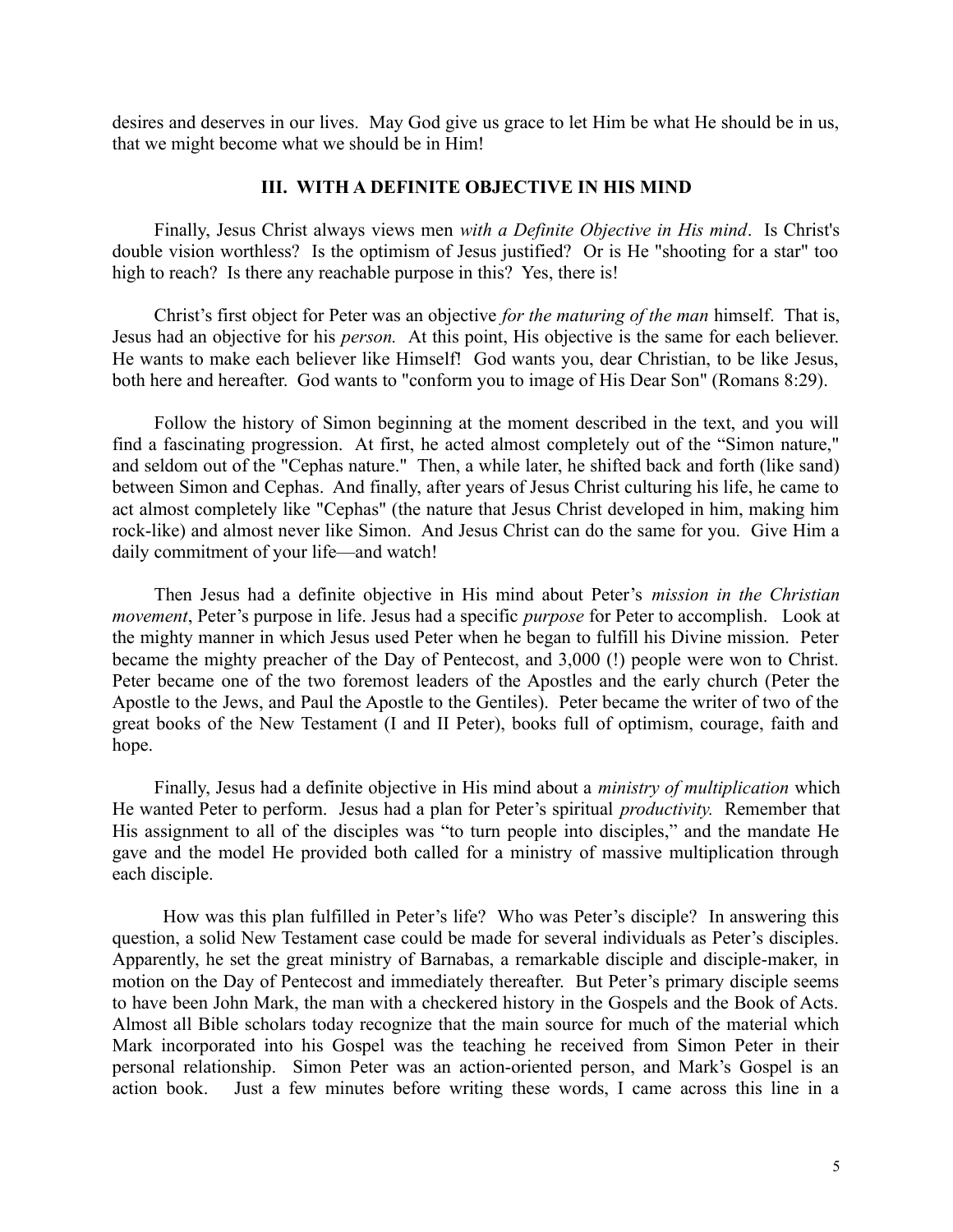desires and deserves in our lives. May God give us grace to let Him be what He should be in us, that we might become what we should be in Him!

#### **III. WITH A DEFINITE OBJECTIVE IN HIS MIND**

Finally, Jesus Christ always views men *with a Definite Objective in His mind*. Is Christ's double vision worthless? Is the optimism of Jesus justified? Or is He "shooting for a star" too high to reach? Is there any reachable purpose in this? Yes, there is!

Christ's first object for Peter was an objective *for the maturing of the man* himself. That is, Jesus had an objective for his *person.* At this point, His objective is the same for each believer. He wants to make each believer like Himself! God wants you, dear Christian, to be like Jesus, both here and hereafter. God wants to "conform you to image of His Dear Son" (Romans 8:29).

Follow the history of Simon beginning at the moment described in the text, and you will find a fascinating progression. At first, he acted almost completely out of the "Simon nature," and seldom out of the "Cephas nature." Then, a while later, he shifted back and forth (like sand) between Simon and Cephas. And finally, after years of Jesus Christ culturing his life, he came to act almost completely like "Cephas" (the nature that Jesus Christ developed in him, making him rock-like) and almost never like Simon. And Jesus Christ can do the same for you. Give Him a daily commitment of your life—and watch!

Then Jesus had a definite objective in His mind about Peter's *mission in the Christian movement*, Peter's purpose in life. Jesus had a specific *purpose* for Peter to accomplish. Look at the mighty manner in which Jesus used Peter when he began to fulfill his Divine mission. Peter became the mighty preacher of the Day of Pentecost, and 3,000 (!) people were won to Christ. Peter became one of the two foremost leaders of the Apostles and the early church (Peter the Apostle to the Jews, and Paul the Apostle to the Gentiles). Peter became the writer of two of the great books of the New Testament (I and II Peter), books full of optimism, courage, faith and hope.

Finally, Jesus had a definite objective in His mind about a *ministry of multiplication* which He wanted Peter to perform. Jesus had a plan for Peter's spiritual *productivity.* Remember that His assignment to all of the disciples was "to turn people into disciples," and the mandate He gave and the model He provided both called for a ministry of massive multiplication through each disciple.

 How was this plan fulfilled in Peter's life? Who was Peter's disciple? In answering this question, a solid New Testament case could be made for several individuals as Peter's disciples. Apparently, he set the great ministry of Barnabas, a remarkable disciple and disciple-maker, in motion on the Day of Pentecost and immediately thereafter. But Peter's primary disciple seems to have been John Mark, the man with a checkered history in the Gospels and the Book of Acts. Almost all Bible scholars today recognize that the main source for much of the material which Mark incorporated into his Gospel was the teaching he received from Simon Peter in their personal relationship. Simon Peter was an action-oriented person, and Mark's Gospel is an action book. Just a few minutes before writing these words, I came across this line in a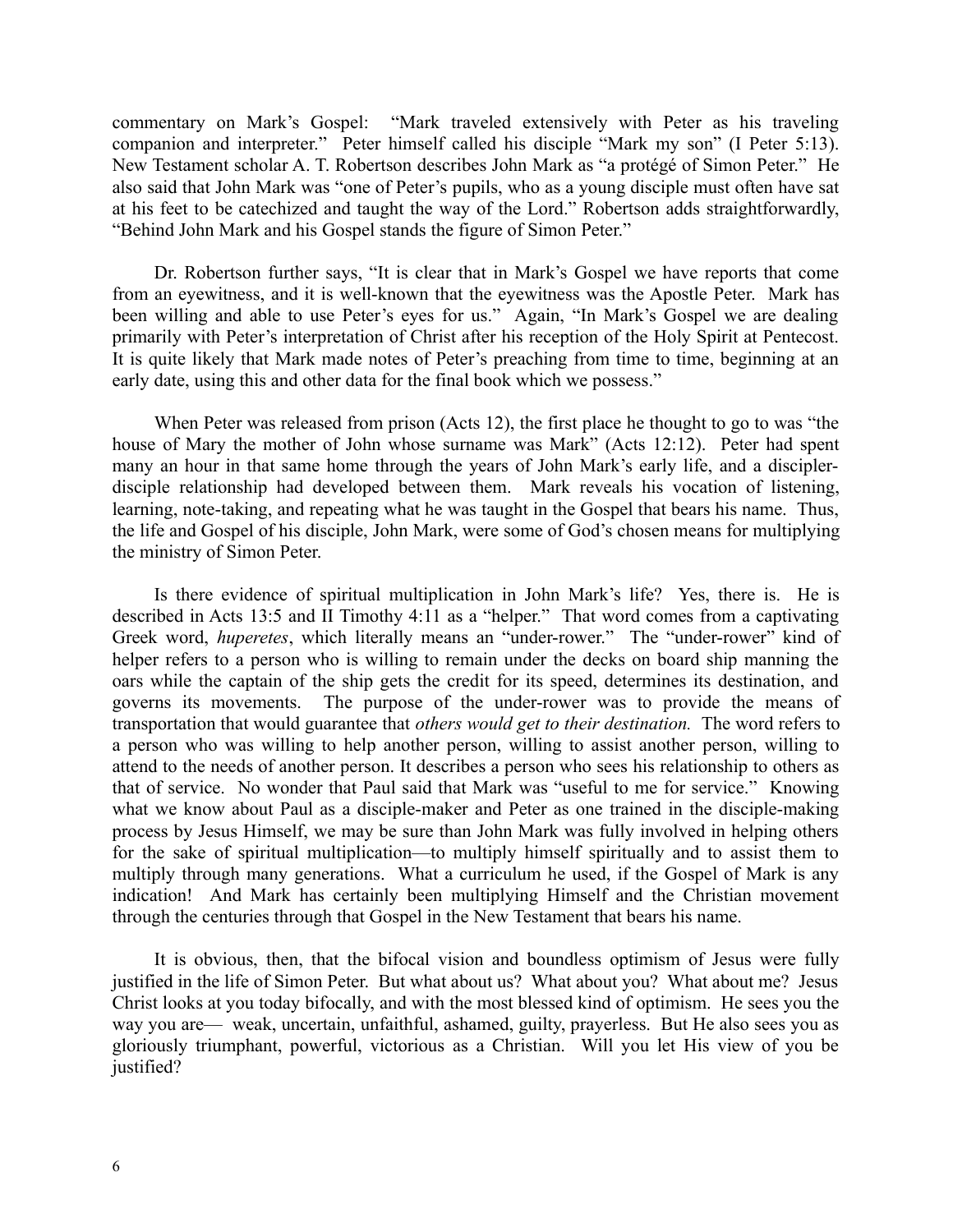commentary on Mark's Gospel: "Mark traveled extensively with Peter as his traveling companion and interpreter." Peter himself called his disciple "Mark my son" (I Peter 5:13). New Testament scholar A. T. Robertson describes John Mark as "a protégé of Simon Peter." He also said that John Mark was "one of Peter's pupils, who as a young disciple must often have sat at his feet to be catechized and taught the way of the Lord." Robertson adds straightforwardly, "Behind John Mark and his Gospel stands the figure of Simon Peter."

Dr. Robertson further says, "It is clear that in Mark's Gospel we have reports that come from an eyewitness, and it is well-known that the eyewitness was the Apostle Peter. Mark has been willing and able to use Peter's eyes for us." Again, "In Mark's Gospel we are dealing primarily with Peter's interpretation of Christ after his reception of the Holy Spirit at Pentecost. It is quite likely that Mark made notes of Peter's preaching from time to time, beginning at an early date, using this and other data for the final book which we possess."

When Peter was released from prison (Acts 12), the first place he thought to go to was "the house of Mary the mother of John whose surname was Mark" (Acts 12:12). Peter had spent many an hour in that same home through the years of John Mark's early life, and a disciplerdisciple relationship had developed between them. Mark reveals his vocation of listening, learning, note-taking, and repeating what he was taught in the Gospel that bears his name. Thus, the life and Gospel of his disciple, John Mark, were some of God's chosen means for multiplying the ministry of Simon Peter.

Is there evidence of spiritual multiplication in John Mark's life? Yes, there is. He is described in Acts 13:5 and II Timothy 4:11 as a "helper." That word comes from a captivating Greek word, *huperetes*, which literally means an "under-rower." The "under-rower" kind of helper refers to a person who is willing to remain under the decks on board ship manning the oars while the captain of the ship gets the credit for its speed, determines its destination, and governs its movements. The purpose of the under-rower was to provide the means of transportation that would guarantee that *others would get to their destination.* The word refers to a person who was willing to help another person, willing to assist another person, willing to attend to the needs of another person. It describes a person who sees his relationship to others as that of service. No wonder that Paul said that Mark was "useful to me for service." Knowing what we know about Paul as a disciple-maker and Peter as one trained in the disciple-making process by Jesus Himself, we may be sure than John Mark was fully involved in helping others for the sake of spiritual multiplication—to multiply himself spiritually and to assist them to multiply through many generations. What a curriculum he used, if the Gospel of Mark is any indication! And Mark has certainly been multiplying Himself and the Christian movement through the centuries through that Gospel in the New Testament that bears his name.

It is obvious, then, that the bifocal vision and boundless optimism of Jesus were fully justified in the life of Simon Peter. But what about us? What about you? What about me? Jesus Christ looks at you today bifocally, and with the most blessed kind of optimism. He sees you the way you are— weak, uncertain, unfaithful, ashamed, guilty, prayerless. But He also sees you as gloriously triumphant, powerful, victorious as a Christian. Will you let His view of you be justified?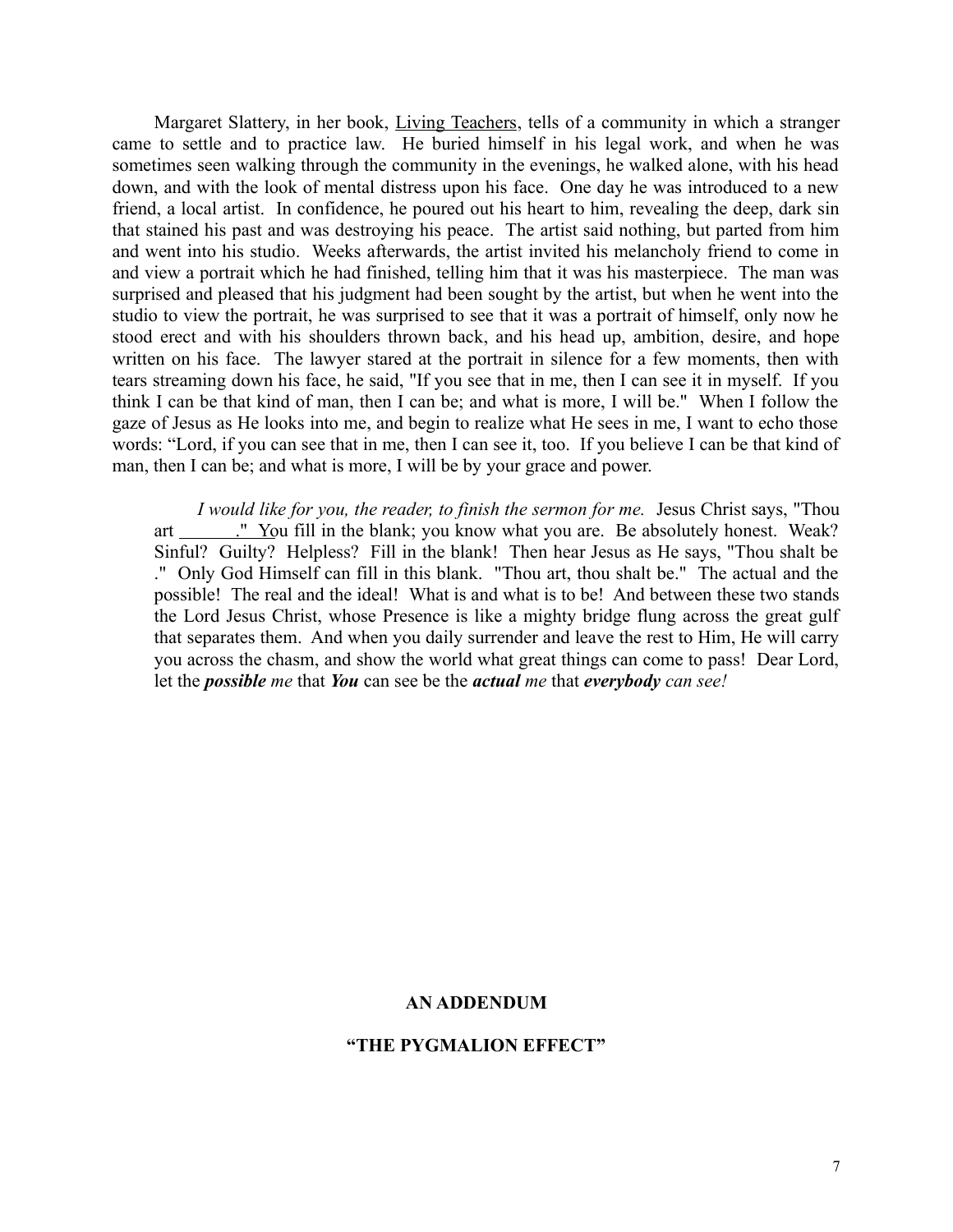Margaret Slattery, in her book, Living Teachers, tells of a community in which a stranger came to settle and to practice law. He buried himself in his legal work, and when he was sometimes seen walking through the community in the evenings, he walked alone, with his head down, and with the look of mental distress upon his face. One day he was introduced to a new friend, a local artist. In confidence, he poured out his heart to him, revealing the deep, dark sin that stained his past and was destroying his peace. The artist said nothing, but parted from him and went into his studio. Weeks afterwards, the artist invited his melancholy friend to come in and view a portrait which he had finished, telling him that it was his masterpiece. The man was surprised and pleased that his judgment had been sought by the artist, but when he went into the studio to view the portrait, he was surprised to see that it was a portrait of himself, only now he stood erect and with his shoulders thrown back, and his head up, ambition, desire, and hope written on his face. The lawyer stared at the portrait in silence for a few moments, then with tears streaming down his face, he said, "If you see that in me, then I can see it in myself. If you think I can be that kind of man, then I can be; and what is more, I will be." When I follow the gaze of Jesus as He looks into me, and begin to realize what He sees in me, I want to echo those words: "Lord, if you can see that in me, then I can see it, too. If you believe I can be that kind of man, then I can be; and what is more, I will be by your grace and power.

*I would like for you, the reader, to finish the sermon for me.* Jesus Christ says, "Thou art \_\_\_\_\_\_\_." You fill in the blank; you know what you are. Be absolutely honest. Weak? Sinful? Guilty? Helpless? Fill in the blank! Then hear Jesus as He says, "Thou shalt be ." Only God Himself can fill in this blank. "Thou art, thou shalt be." The actual and the possible! The real and the ideal! What is and what is to be! And between these two stands the Lord Jesus Christ, whose Presence is like a mighty bridge flung across the great gulf that separates them. And when you daily surrender and leave the rest to Him, He will carry you across the chasm, and show the world what great things can come to pass! Dear Lord, let the *possible me* that *You* can see be the *actual me* that *everybody can see!*

### **AN ADDENDUM**

### **"THE PYGMALION EFFECT"**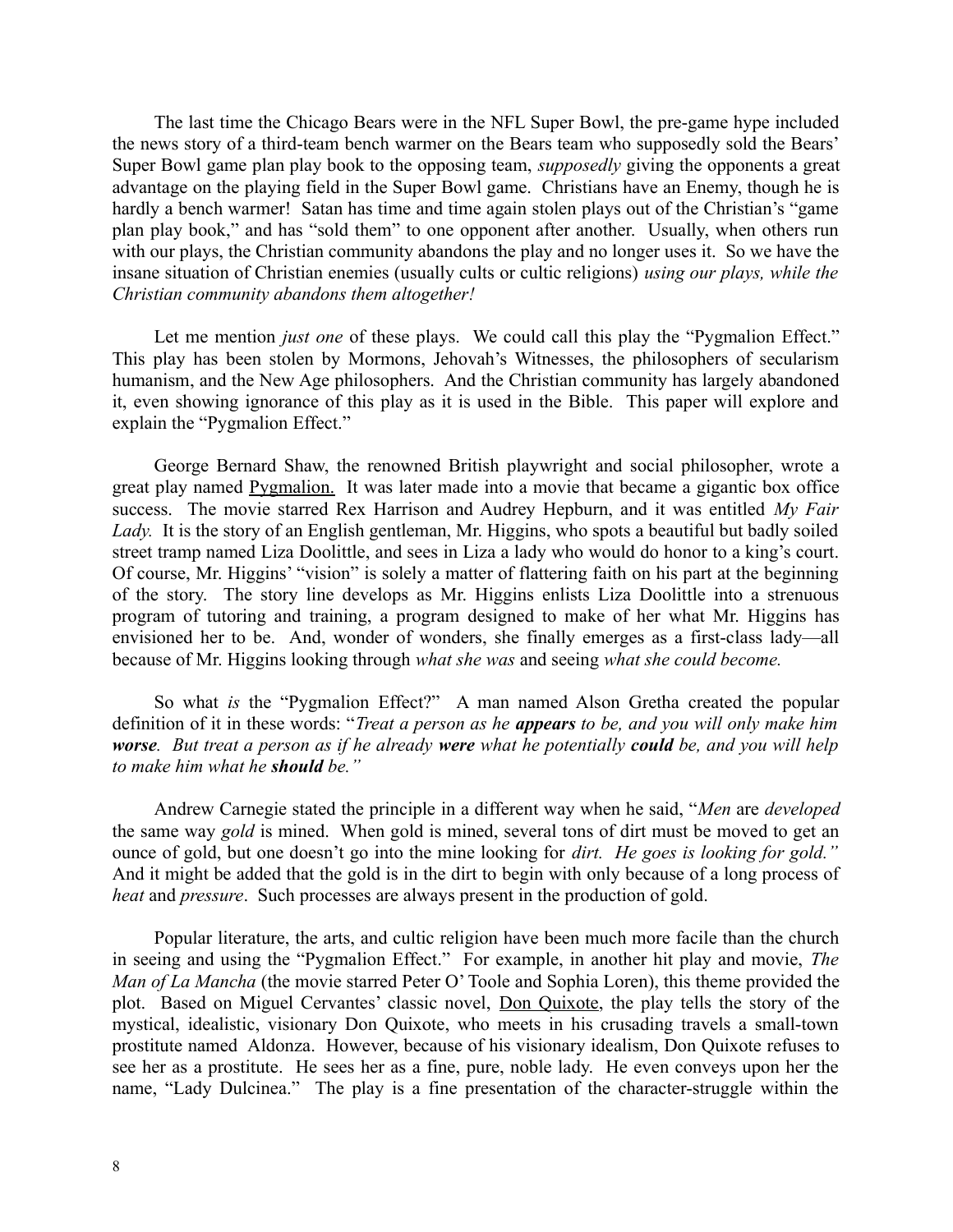The last time the Chicago Bears were in the NFL Super Bowl, the pre-game hype included the news story of a third-team bench warmer on the Bears team who supposedly sold the Bears' Super Bowl game plan play book to the opposing team, *supposedly* giving the opponents a great advantage on the playing field in the Super Bowl game. Christians have an Enemy, though he is hardly a bench warmer! Satan has time and time again stolen plays out of the Christian's "game" plan play book," and has "sold them" to one opponent after another. Usually, when others run with our plays, the Christian community abandons the play and no longer uses it. So we have the insane situation of Christian enemies (usually cults or cultic religions) *using our plays, while the Christian community abandons them altogether!*

Let me mention *just one* of these plays. We could call this play the "Pygmalion Effect." This play has been stolen by Mormons, Jehovah's Witnesses, the philosophers of secularism humanism, and the New Age philosophers. And the Christian community has largely abandoned it, even showing ignorance of this play as it is used in the Bible. This paper will explore and explain the "Pygmalion Effect."

George Bernard Shaw, the renowned British playwright and social philosopher, wrote a great play named Pygmalion. It was later made into a movie that became a gigantic box office success. The movie starred Rex Harrison and Audrey Hepburn, and it was entitled *My Fair* Lady. It is the story of an English gentleman, Mr. Higgins, who spots a beautiful but badly soiled street tramp named Liza Doolittle, and sees in Liza a lady who would do honor to a king's court. Of course, Mr. Higgins' "vision" is solely a matter of flattering faith on his part at the beginning of the story. The story line develops as Mr. Higgins enlists Liza Doolittle into a strenuous program of tutoring and training, a program designed to make of her what Mr. Higgins has envisioned her to be. And, wonder of wonders, she finally emerges as a first-class lady—all because of Mr. Higgins looking through *what she was* and seeing *what she could become.*

So what *is* the "Pygmalion Effect?" A man named Alson Gretha created the popular definition of it in these words: "*Treat a person as he appears to be, and you will only make him worse. But treat a person as if he already were what he potentially could be, and you will help to make him what he should be."*

Andrew Carnegie stated the principle in a different way when he said, "*Men* are *developed* the same way *gold* is mined. When gold is mined, several tons of dirt must be moved to get an ounce of gold, but one doesn't go into the mine looking for *dirt. He goes is looking for gold."* And it might be added that the gold is in the dirt to begin with only because of a long process of *heat* and *pressure*. Such processes are always present in the production of gold.

Popular literature, the arts, and cultic religion have been much more facile than the church in seeing and using the "Pygmalion Effect." For example, in another hit play and movie, *The Man of La Mancha* (the movie starred Peter O' Toole and Sophia Loren), this theme provided the plot. Based on Miguel Cervantes' classic novel, Don Quixote, the play tells the story of the mystical, idealistic, visionary Don Quixote, who meets in his crusading travels a small-town prostitute named Aldonza. However, because of his visionary idealism, Don Quixote refuses to see her as a prostitute. He sees her as a fine, pure, noble lady. He even conveys upon her the name, "Lady Dulcinea." The play is a fine presentation of the character-struggle within the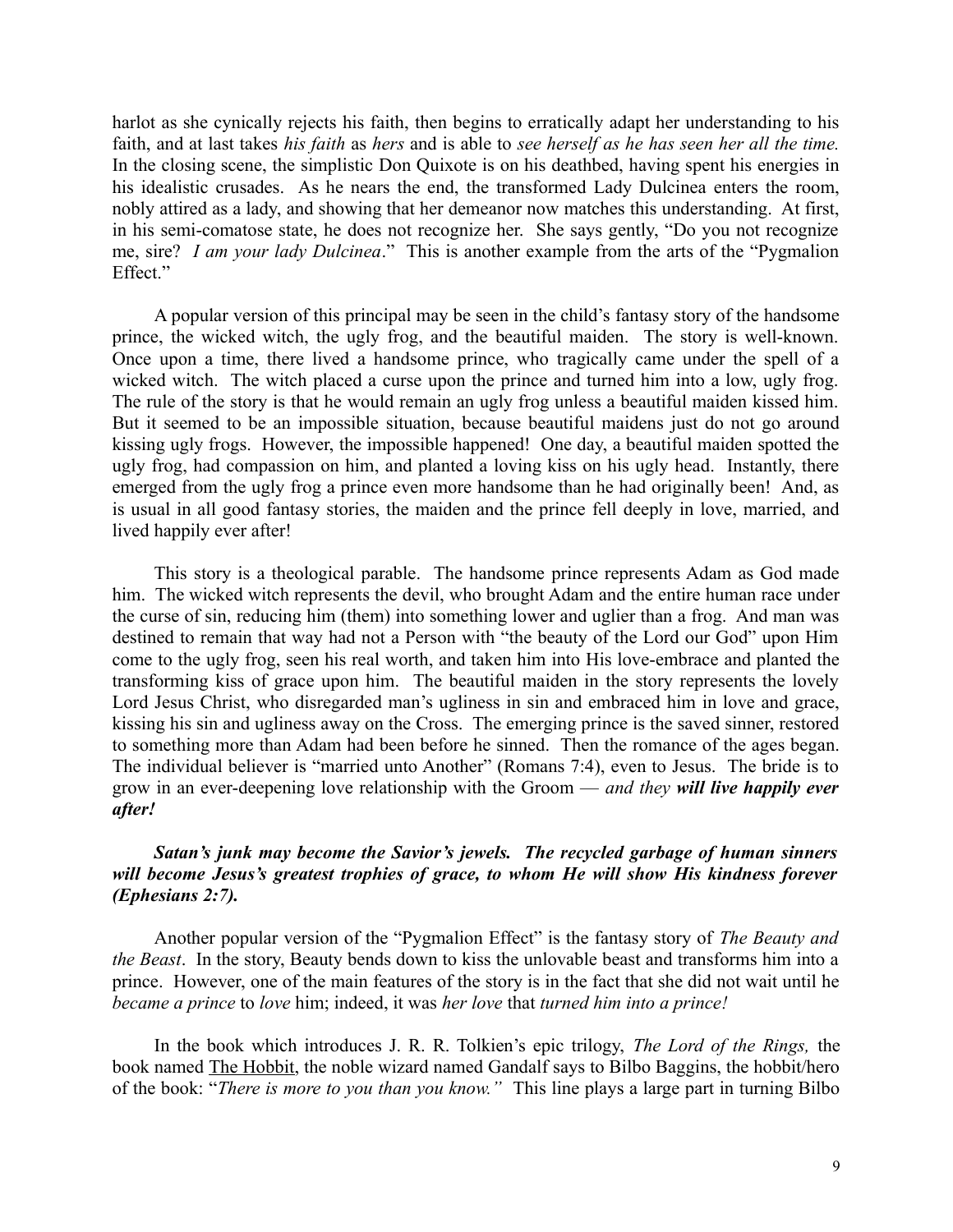harlot as she cynically rejects his faith, then begins to erratically adapt her understanding to his faith, and at last takes *his faith* as *hers* and is able to *see herself as he has seen her all the time.* In the closing scene, the simplistic Don Quixote is on his deathbed, having spent his energies in his idealistic crusades. As he nears the end, the transformed Lady Dulcinea enters the room, nobly attired as a lady, and showing that her demeanor now matches this understanding. At first, in his semi-comatose state, he does not recognize her. She says gently, "Do you not recognize me, sire? *I am your lady Dulcinea*." This is another example from the arts of the "Pygmalion Effect."

A popular version of this principal may be seen in the child's fantasy story of the handsome prince, the wicked witch, the ugly frog, and the beautiful maiden. The story is well-known. Once upon a time, there lived a handsome prince, who tragically came under the spell of a wicked witch. The witch placed a curse upon the prince and turned him into a low, ugly frog. The rule of the story is that he would remain an ugly frog unless a beautiful maiden kissed him. But it seemed to be an impossible situation, because beautiful maidens just do not go around kissing ugly frogs. However, the impossible happened! One day, a beautiful maiden spotted the ugly frog, had compassion on him, and planted a loving kiss on his ugly head. Instantly, there emerged from the ugly frog a prince even more handsome than he had originally been! And, as is usual in all good fantasy stories, the maiden and the prince fell deeply in love, married, and lived happily ever after!

This story is a theological parable. The handsome prince represents Adam as God made him. The wicked witch represents the devil, who brought Adam and the entire human race under the curse of sin, reducing him (them) into something lower and uglier than a frog. And man was destined to remain that way had not a Person with "the beauty of the Lord our God" upon Him come to the ugly frog, seen his real worth, and taken him into His love-embrace and planted the transforming kiss of grace upon him. The beautiful maiden in the story represents the lovely Lord Jesus Christ, who disregarded man's ugliness in sin and embraced him in love and grace, kissing his sin and ugliness away on the Cross. The emerging prince is the saved sinner, restored to something more than Adam had been before he sinned. Then the romance of the ages began. The individual believer is "married unto Another" (Romans 7:4), even to Jesus. The bride is to grow in an ever-deepening love relationship with the Groom — *and they will live happily ever after!*

# *Satan's junk may become the Savior's jewels. The recycled garbage of human sinners will become Jesus's greatest trophies of grace, to whom He will show His kindness forever (Ephesians 2:7).*

Another popular version of the "Pygmalion Effect" is the fantasy story of *The Beauty and the Beast*. In the story, Beauty bends down to kiss the unlovable beast and transforms him into a prince. However, one of the main features of the story is in the fact that she did not wait until he *became a prince* to *love* him; indeed, it was *her love* that *turned him into a prince!*

In the book which introduces J. R. R. Tolkien's epic trilogy, *The Lord of the Rings,* the book named The Hobbit, the noble wizard named Gandalf says to Bilbo Baggins, the hobbit/hero of the book: "*There is more to you than you know."* This line plays a large part in turning Bilbo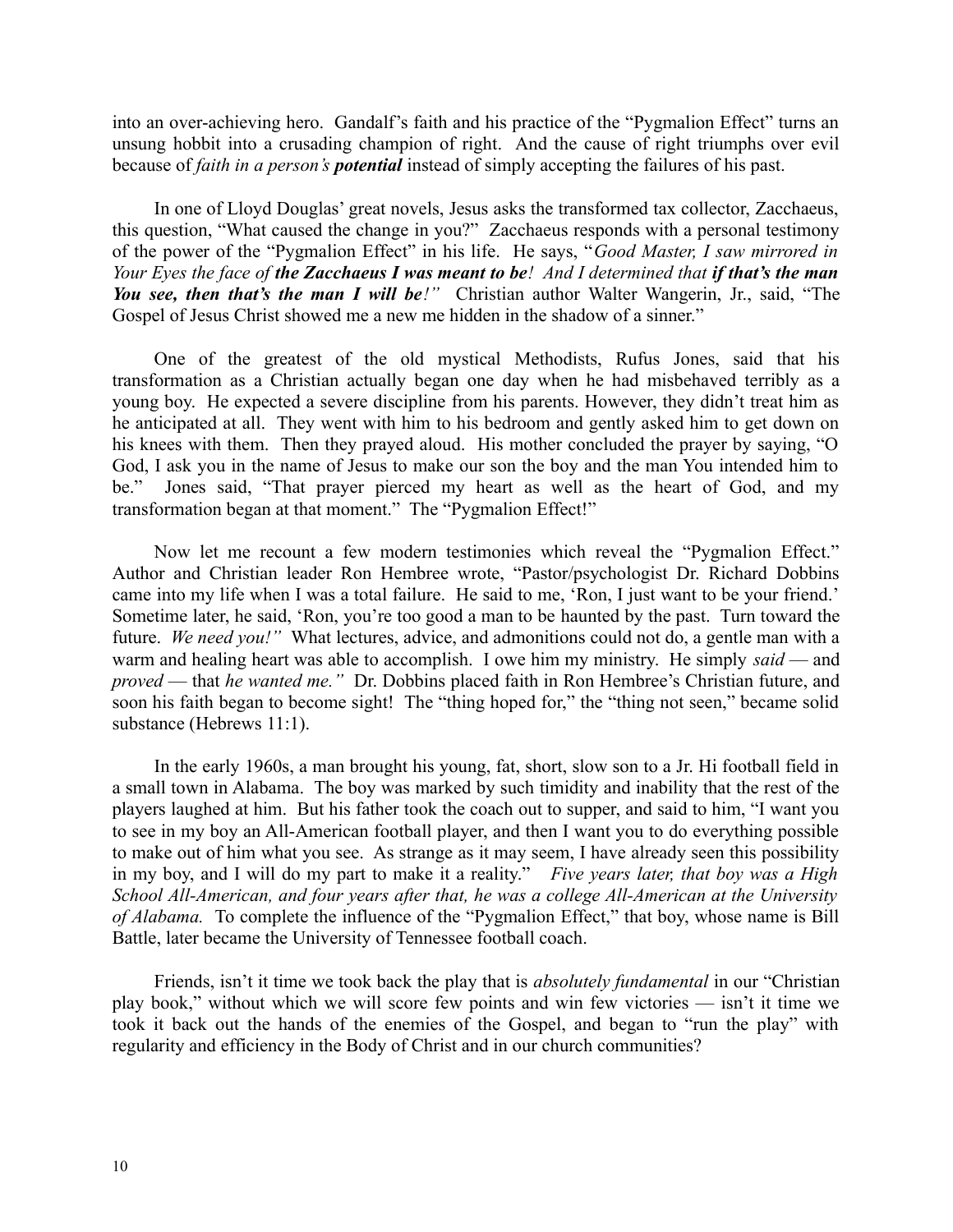into an over-achieving hero. Gandalf's faith and his practice of the "Pygmalion Effect" turns an unsung hobbit into a crusading champion of right. And the cause of right triumphs over evil because of *faith in a person's potential* instead of simply accepting the failures of his past.

In one of Lloyd Douglas' great novels, Jesus asks the transformed tax collector, Zacchaeus, this question, "What caused the change in you?" Zacchaeus responds with a personal testimony of the power of the "Pygmalion Effect" in his life. He says, "*Good Master, I saw mirrored in Your Eyes the face of the Zacchaeus I was meant to be! And I determined that if that's the man You see, then that's the man I will be!"* Christian author Walter Wangerin, Jr., said, "The Gospel of Jesus Christ showed me a new me hidden in the shadow of a sinner."

One of the greatest of the old mystical Methodists, Rufus Jones, said that his transformation as a Christian actually began one day when he had misbehaved terribly as a young boy. He expected a severe discipline from his parents. However, they didn't treat him as he anticipated at all. They went with him to his bedroom and gently asked him to get down on his knees with them. Then they prayed aloud. His mother concluded the prayer by saying, "O God, I ask you in the name of Jesus to make our son the boy and the man You intended him to be." Jones said, "That prayer pierced my heart as well as the heart of God, and my transformation began at that moment." The "Pygmalion Effect!"

Now let me recount a few modern testimonies which reveal the "Pygmalion Effect." Author and Christian leader Ron Hembree wrote, "Pastor/psychologist Dr. Richard Dobbins came into my life when I was a total failure. He said to me, 'Ron, I just want to be your friend.' Sometime later, he said, 'Ron, you're too good a man to be haunted by the past. Turn toward the future. *We need you!"* What lectures, advice, and admonitions could not do, a gentle man with a warm and healing heart was able to accomplish. I owe him my ministry. He simply *said* — and *proved* — that *he wanted me."* Dr. Dobbins placed faith in Ron Hembree's Christian future, and soon his faith began to become sight! The "thing hoped for," the "thing not seen," became solid substance (Hebrews 11:1).

In the early 1960s, a man brought his young, fat, short, slow son to a Jr. Hi football field in a small town in Alabama. The boy was marked by such timidity and inability that the rest of the players laughed at him. But his father took the coach out to supper, and said to him, "I want you to see in my boy an All-American football player, and then I want you to do everything possible to make out of him what you see. As strange as it may seem, I have already seen this possibility in my boy, and I will do my part to make it a reality." *Five years later, that boy was a High School All-American, and four years after that, he was a college All-American at the University of Alabama.* To complete the influence of the "Pygmalion Effect," that boy, whose name is Bill Battle, later became the University of Tennessee football coach.

Friends, isn't it time we took back the play that is *absolutely fundamental* in our "Christian play book," without which we will score few points and win few victories — isn't it time we took it back out the hands of the enemies of the Gospel, and began to "run the play" with regularity and efficiency in the Body of Christ and in our church communities?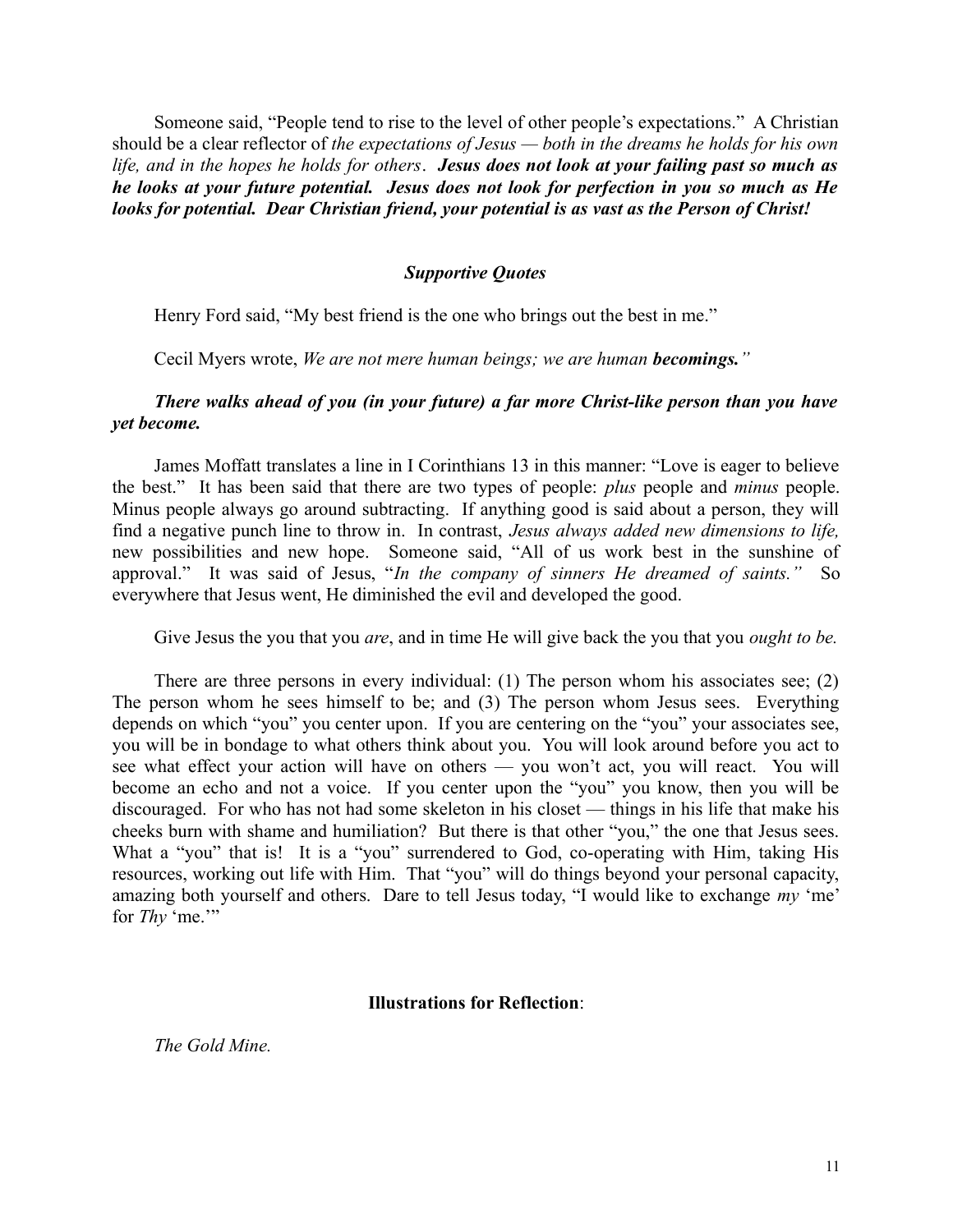Someone said, "People tend to rise to the level of other people's expectations." A Christian should be a clear reflector of *the expectations of Jesus — both in the dreams he holds for his own life, and in the hopes he holds for others*. *Jesus does not look at your failing past so much as he looks at your future potential. Jesus does not look for perfection in you so much as He looks for potential. Dear Christian friend, your potential is as vast as the Person of Christ!*

### *Supportive Quotes*

Henry Ford said, "My best friend is the one who brings out the best in me."

Cecil Myers wrote, *We are not mere human beings; we are human becomings."*

## *There walks ahead of you (in your future) a far more Christ-like person than you have yet become.*

James Moffatt translates a line in I Corinthians 13 in this manner: "Love is eager to believe the best." It has been said that there are two types of people: *plus* people and *minus* people. Minus people always go around subtracting. If anything good is said about a person, they will find a negative punch line to throw in. In contrast, *Jesus always added new dimensions to life,* new possibilities and new hope. Someone said, "All of us work best in the sunshine of approval." It was said of Jesus, "*In the company of sinners He dreamed of saints."* So everywhere that Jesus went, He diminished the evil and developed the good.

Give Jesus the you that you *are*, and in time He will give back the you that you *ought to be.*

There are three persons in every individual: (1) The person whom his associates see; (2) The person whom he sees himself to be; and (3) The person whom Jesus sees. Everything depends on which "you" you center upon. If you are centering on the "you" your associates see, you will be in bondage to what others think about you. You will look around before you act to see what effect your action will have on others — you won't act, you will react. You will become an echo and not a voice. If you center upon the "you" you know, then you will be discouraged. For who has not had some skeleton in his closet — things in his life that make his cheeks burn with shame and humiliation? But there is that other "you," the one that Jesus sees. What a "you" that is! It is a "you" surrendered to God, co-operating with Him, taking His resources, working out life with Him. That "you" will do things beyond your personal capacity, amazing both yourself and others. Dare to tell Jesus today, "I would like to exchange *my* 'me' for *Thy* 'me.'"

#### **Illustrations for Reflection**:

*The Gold Mine.*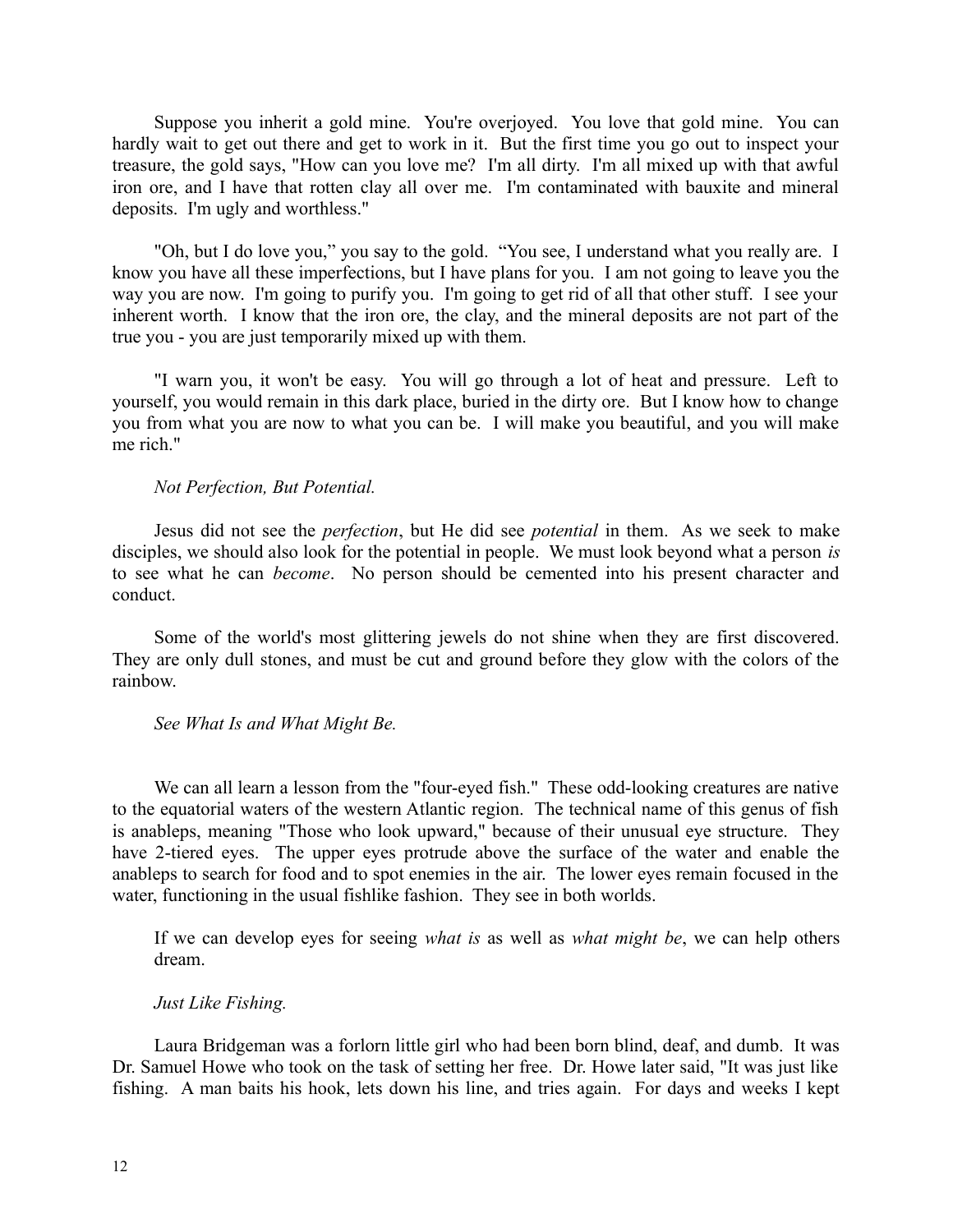Suppose you inherit a gold mine. You're overjoyed. You love that gold mine. You can hardly wait to get out there and get to work in it. But the first time you go out to inspect your treasure, the gold says, "How can you love me? I'm all dirty. I'm all mixed up with that awful iron ore, and I have that rotten clay all over me. I'm contaminated with bauxite and mineral deposits. I'm ugly and worthless."

"Oh, but I do love you," you say to the gold. "You see, I understand what you really are. I know you have all these imperfections, but I have plans for you. I am not going to leave you the way you are now. I'm going to purify you. I'm going to get rid of all that other stuff. I see your inherent worth. I know that the iron ore, the clay, and the mineral deposits are not part of the true you - you are just temporarily mixed up with them.

"I warn you, it won't be easy. You will go through a lot of heat and pressure. Left to yourself, you would remain in this dark place, buried in the dirty ore. But I know how to change you from what you are now to what you can be. I will make you beautiful, and you will make me rich."

### *Not Perfection, But Potential.*

Jesus did not see the *perfection*, but He did see *potential* in them. As we seek to make disciples, we should also look for the potential in people. We must look beyond what a person *is* to see what he can *become*. No person should be cemented into his present character and conduct.

Some of the world's most glittering jewels do not shine when they are first discovered. They are only dull stones, and must be cut and ground before they glow with the colors of the rainbow.

#### *See What Is and What Might Be.*

We can all learn a lesson from the "four-eyed fish." These odd-looking creatures are native to the equatorial waters of the western Atlantic region. The technical name of this genus of fish is anableps, meaning "Those who look upward," because of their unusual eye structure. They have 2-tiered eyes. The upper eyes protrude above the surface of the water and enable the anableps to search for food and to spot enemies in the air. The lower eyes remain focused in the water, functioning in the usual fishlike fashion. They see in both worlds.

If we can develop eyes for seeing *what is* as well as *what might be*, we can help others dream.

## *Just Like Fishing.*

Laura Bridgeman was a forlorn little girl who had been born blind, deaf, and dumb. It was Dr. Samuel Howe who took on the task of setting her free. Dr. Howe later said, "It was just like fishing. A man baits his hook, lets down his line, and tries again. For days and weeks I kept